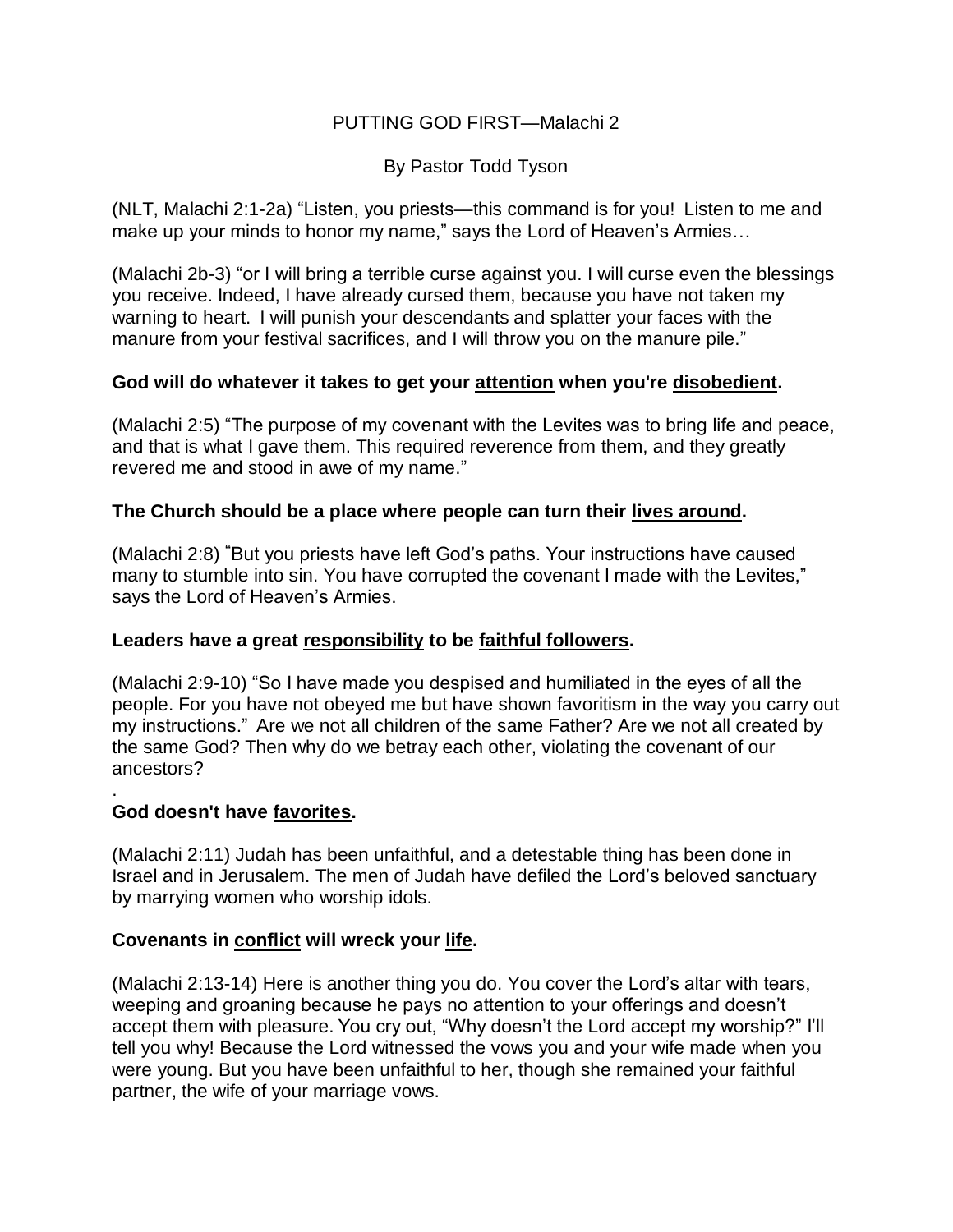## PUTTING GOD FIRST—Malachi 2

By Pastor Todd Tyson

(NLT, Malachi 2:1-2a) "Listen, you priests—this command is for you! Listen to me and make up your minds to honor my name," says the Lord of Heaven's Armies...

(Malachi 2b-3) "or I will bring a terrible curse against you. I will curse even the blessings you receive. Indeed, I have already cursed them, because you have not taken my warning to heart. I will punish your descendants and splatter your faces with the manure from your festival sacrifices, and I will throw you on the manure pile."

## **God will do whatever it takes to get your attention when you're disobedient.**

(Malachi 2:5) "The purpose of my covenant with the Levites was to bring life and peace, and that is what I gave them. This required reverence from them, and they greatly revered me and stood in awe of my name."

## **The Church should be a place where people can turn their lives around.**

(Malachi 2:8) **"**But you priests have left God's paths. Your instructions have caused many to stumble into sin. You have corrupted the covenant I made with the Levites," says the Lord of Heaven's Armies.

### **Leaders have a great responsibility to be faithful followers.**

(Malachi 2:9-10) "So I have made you despised and humiliated in the eyes of all the people. For you have not obeyed me but have shown favoritism in the way you carry out my instructions." Are we not all children of the same Father? Are we not all created by the same God? Then why do we betray each other, violating the covenant of our ancestors?

### **God doesn't have favorites.**

.

(Malachi 2:11) Judah has been unfaithful, and a detestable thing has been done in Israel and in Jerusalem. The men of Judah have defiled the Lord's beloved sanctuary by marrying women who worship idols.

# **Covenants in conflict will wreck your life.**

(Malachi 2:13-14) Here is another thing you do. You cover the Lord's altar with tears, weeping and groaning because he pays no attention to your offerings and doesn't accept them with pleasure. You cry out, "Why doesn't the Lord accept my worship?" I'll tell you why! Because the Lord witnessed the vows you and your wife made when you were young. But you have been unfaithful to her, though she remained your faithful partner, the wife of your marriage vows.